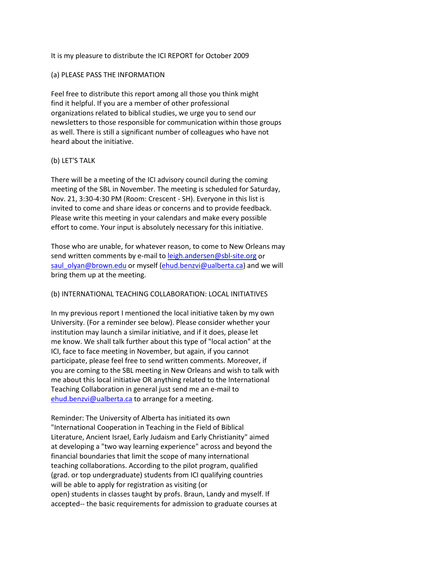### It is my pleasure to distribute the ICI REPORT for October 2009

#### (a) PLEASE PASS THE INFORMATION

Feel free to distribute this report among all those you think might find it helpful. If you are a member of other professional organizations related to biblical studies, we urge you to send our newsletters to those responsible for communication within those groups as well. There is still a significant number of colleagues who have not heard about the initiative.

### (b) LET'S TALK

There will be a meeting of the ICI advisory council during the coming meeting of the SBL in November. The meeting is scheduled for Saturday, Nov. 21, 3:30-4:30 PM (Room: Crescent - SH). Everyone in this list is invited to come and share ideas or concerns and to provide feedback. Please write this meeting in your calendars and make every possible effort to come. Your input is absolutely necessary for this initiative.

Those who are unable, for whatever reason, to come to New Orleans may send written comments by e-mail t[o leigh.andersen@sbl-site.org](mailto:leigh.andersen@sbl-site.org) or [saul\\_olyan@brown.edu](mailto:saul_olyan@brown.edu) or myself [\(ehud.benzvi@ualberta.ca\)](mailto:ehud.benzvi@ualberta.ca) and we will bring them up at the meeting.

## (b) INTERNATIONAL TEACHING COLLABORATION: LOCAL INITIATIVES

In my previous report I mentioned the local initiative taken by my own University. (For a reminder see below). Please consider whether your institution may launch a similar initiative, and if it does, please let me know. We shall talk further about this type of "local action" at the ICI, face to face meeting in November, but again, if you cannot participate, please feel free to send written comments. Moreover, if you are coming to the SBL meeting in New Orleans and wish to talk with me about this local initiative OR anything related to the International Teaching Collaboration in general just send me an e-mail to [ehud.benzvi@ualberta.ca](mailto:ehud.benzvi@ualberta.ca) to arrange for a meeting.

Reminder: The University of Alberta has initiated its own "International Cooperation in Teaching in the Field of Biblical Literature, Ancient Israel, Early Judaism and Early Christianity" aimed at developing a "two way learning experience" across and beyond the financial boundaries that limit the scope of many international teaching collaborations. According to the pilot program, qualified (grad. or top undergraduate) students from ICI qualifying countries will be able to apply for registration as visiting (or open) students in classes taught by profs. Braun, Landy and myself. If accepted-- the basic requirements for admission to graduate courses at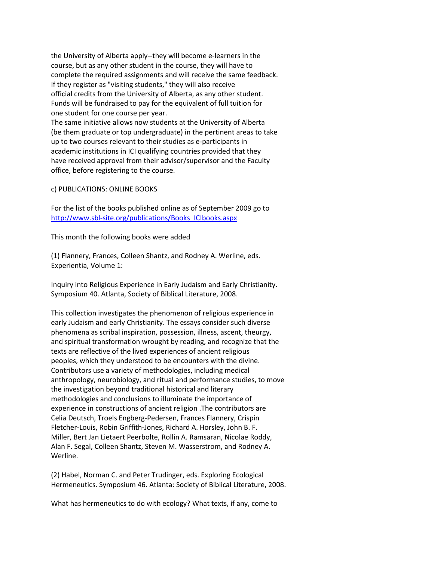the University of Alberta apply--they will become e-learners in the course, but as any other student in the course, they will have to complete the required assignments and will receive the same feedback. If they register as "visiting students," they will also receive official credits from the University of Alberta, as any other student. Funds will be fundraised to pay for the equivalent of full tuition for one student for one course per year. The same initiative allows now students at the University of Alberta (be them graduate or top undergraduate) in the pertinent areas to take up to two courses relevant to their studies as e-participants in

academic institutions in ICI qualifying countries provided that they have received approval from their advisor/supervisor and the Faculty office, before registering to the course.

### c) PUBLICATIONS: ONLINE BOOKS

For the list of the books published online as of September 2009 go to [http://www.sbl-site.org/publications/Books\\_ICIbooks.aspx](http://www.sbl-site.org/publications/Books_ICIbooks.aspx)

This month the following books were added

(1) Flannery, Frances, Colleen Shantz, and Rodney A. Werline, eds. Experientia, Volume 1:

Inquiry into Religious Experience in Early Judaism and Early Christianity. Symposium 40. Atlanta, Society of Biblical Literature, 2008.

This collection investigates the phenomenon of religious experience in early Judaism and early Christianity. The essays consider such diverse phenomena as scribal inspiration, possession, illness, ascent, theurgy, and spiritual transformation wrought by reading, and recognize that the texts are reflective of the lived experiences of ancient religious peoples, which they understood to be encounters with the divine. Contributors use a variety of methodologies, including medical anthropology, neurobiology, and ritual and performance studies, to move the investigation beyond traditional historical and literary methodologies and conclusions to illuminate the importance of experience in constructions of ancient religion .The contributors are Celia Deutsch, Troels Engberg-Pedersen, Frances Flannery, Crispin Fletcher-Louis, Robin Griffith-Jones, Richard A. Horsley, John B. F. Miller, Bert Jan Lietaert Peerbolte, Rollin A. Ramsaran, Nicolae Roddy, Alan F. Segal, Colleen Shantz, Steven M. Wasserstrom, and Rodney A. Werline.

(2) Habel, Norman C. and Peter Trudinger, eds. Exploring Ecological Hermeneutics. Symposium 46. Atlanta: Society of Biblical Literature, 2008.

What has hermeneutics to do with ecology? What texts, if any, come to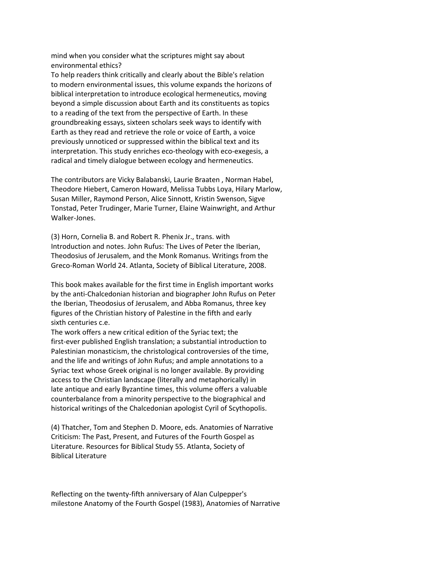mind when you consider what the scriptures might say about environmental ethics?

To help readers think critically and clearly about the Bible's relation to modern environmental issues, this volume expands the horizons of biblical interpretation to introduce ecological hermeneutics, moving beyond a simple discussion about Earth and its constituents as topics to a reading of the text from the perspective of Earth. In these groundbreaking essays, sixteen scholars seek ways to identify with Earth as they read and retrieve the role or voice of Earth, a voice previously unnoticed or suppressed within the biblical text and its interpretation. This study enriches eco-theology with eco-exegesis, a radical and timely dialogue between ecology and hermeneutics.

The contributors are Vicky Balabanski, Laurie Braaten , Norman Habel, Theodore Hiebert, Cameron Howard, Melissa Tubbs Loya, Hilary Marlow, Susan Miller, Raymond Person, Alice Sinnott, Kristin Swenson, Sigve Tonstad, Peter Trudinger, Marie Turner, Elaine Wainwright, and Arthur Walker-Jones.

(3) Horn, Cornelia B. and Robert R. Phenix Jr., trans. with Introduction and notes. John Rufus: The Lives of Peter the Iberian, Theodosius of Jerusalem, and the Monk Romanus. Writings from the Greco-Roman World 24. Atlanta, Society of Biblical Literature, 2008.

This book makes available for the first time in English important works by the anti-Chalcedonian historian and biographer John Rufus on Peter the Iberian, Theodosius of Jerusalem, and Abba Romanus, three key figures of the Christian history of Palestine in the fifth and early sixth centuries c.e.

The work offers a new critical edition of the Syriac text; the first-ever published English translation; a substantial introduction to Palestinian monasticism, the christological controversies of the time, and the life and writings of John Rufus; and ample annotations to a Syriac text whose Greek original is no longer available. By providing access to the Christian landscape (literally and metaphorically) in late antique and early Byzantine times, this volume offers a valuable counterbalance from a minority perspective to the biographical and historical writings of the Chalcedonian apologist Cyril of Scythopolis.

(4) Thatcher, Tom and Stephen D. Moore, eds. Anatomies of Narrative Criticism: The Past, Present, and Futures of the Fourth Gospel as Literature. Resources for Biblical Study 55. Atlanta, Society of Biblical Literature

Reflecting on the twenty-fifth anniversary of Alan Culpepper's milestone Anatomy of the Fourth Gospel (1983), Anatomies of Narrative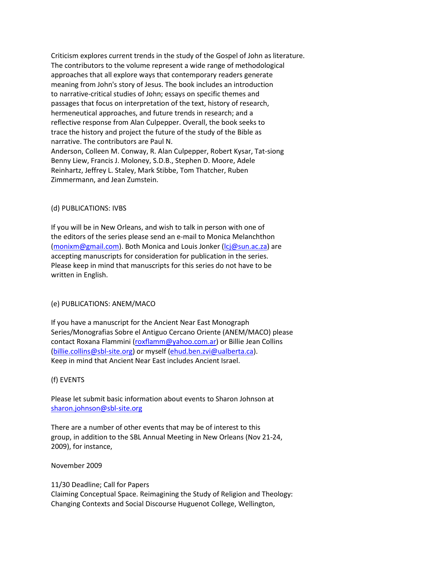Criticism explores current trends in the study of the Gospel of John as literature. The contributors to the volume represent a wide range of methodological approaches that all explore ways that contemporary readers generate meaning from John's story of Jesus. The book includes an introduction to narrative-critical studies of John; essays on specific themes and passages that focus on interpretation of the text, history of research, hermeneutical approaches, and future trends in research; and a reflective response from Alan Culpepper. Overall, the book seeks to trace the history and project the future of the study of the Bible as narrative. The contributors are Paul N. Anderson, Colleen M. Conway, R. Alan Culpepper, Robert Kysar, Tat-siong Benny Liew, Francis J. Moloney, S.D.B., Stephen D. Moore, Adele Reinhartz, Jeffrey L. Staley, Mark Stibbe, Tom Thatcher, Ruben Zimmermann, and Jean Zumstein.

#### (d) PUBLICATIONS: IVBS

If you will be in New Orleans, and wish to talk in person with one of the editors of the series please send an e-mail to Monica Melanchthon [\(monixm@gmail.com\)](mailto:monixm@gmail.com). Both Monica and Louis Jonker [\(lcj@sun.ac.za\)](mailto:lcj@sun.ac.za) are accepting manuscripts for consideration for publication in the series. Please keep in mind that manuscripts for this series do not have to be written in English.

## (e) PUBLICATIONS: ANEM/MACO

If you have a manuscript for the Ancient Near East Monograph Series/Monografias Sobre el Antiguo Cercano Oriente (ANEM/MACO) please contact Roxana Flammini [\(roxflamm@yahoo.com.ar\)](mailto:roxflamm@yahoo.com.ar) or Billie Jean Collins [\(billie.collins@sbl-site.org\)](mailto:billie.collins@sbl-site.org) or myself [\(ehud.ben.zvi@ualberta.ca\)](mailto:ehud.ben.zvi@ualberta.ca). Keep in mind that Ancient Near East includes Ancient Israel.

## (f) EVENTS

Please let submit basic information about events to Sharon Johnson at [sharon.johnson@sbl-site.org](mailto:sharon.johnson@sbl-site.org)

There are a number of other events that may be of interest to this group, in addition to the SBL Annual Meeting in New Orleans (Nov 21-24, 2009), for instance,

#### November 2009

## 11/30 Deadline; Call for Papers

Claiming Conceptual Space. Reimagining the Study of Religion and Theology: Changing Contexts and Social Discourse Huguenot College, Wellington,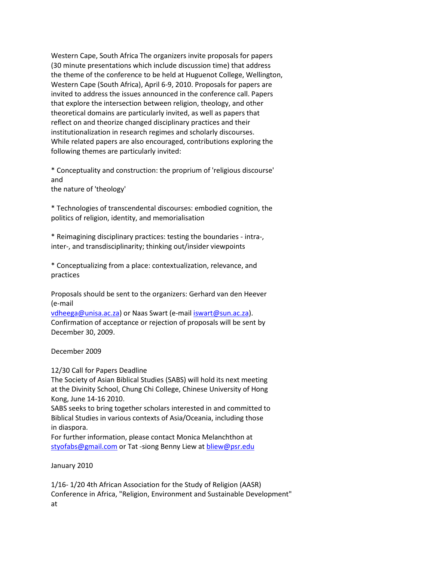Western Cape, South Africa The organizers invite proposals for papers (30 minute presentations which include discussion time) that address the theme of the conference to be held at Huguenot College, Wellington, Western Cape (South Africa), April 6-9, 2010. Proposals for papers are invited to address the issues announced in the conference call. Papers that explore the intersection between religion, theology, and other theoretical domains are particularly invited, as well as papers that reflect on and theorize changed disciplinary practices and their institutionalization in research regimes and scholarly discourses. While related papers are also encouraged, contributions exploring the following themes are particularly invited:

\* Conceptuality and construction: the proprium of 'religious discourse' and

the nature of 'theology'

\* Technologies of transcendental discourses: embodied cognition, the politics of religion, identity, and memorialisation

\* Reimagining disciplinary practices: testing the boundaries - intra-, inter-, and transdisciplinarity; thinking out/insider viewpoints

\* Conceptualizing from a place: contextualization, relevance, and practices

Proposals should be sent to the organizers: Gerhard van den Heever (e-mail

[vdheega@unisa.ac.za\)](mailto:vdheega@unisa.ac.za) or Naas Swart (e-mail [iswart@sun.ac.za\)](mailto:iswart@sun.ac.za). Confirmation of acceptance or rejection of proposals will be sent by December 30, 2009.

December 2009

12/30 Call for Papers Deadline

The Society of Asian Biblical Studies (SABS) will hold its next meeting at the Divinity School, Chung Chi College, Chinese University of Hong Kong, June 14-16 2010.

SABS seeks to bring together scholars interested in and committed to Biblical Studies in various contexts of Asia/Oceania, including those in diaspora.

For further information, please contact Monica Melanchthon at [styofabs@gmail.com](mailto:styofabs@gmail.com) or Tat -siong Benny Liew at [bliew@psr.edu](mailto:bliew@psr.edu)

January 2010

1/16- 1/20 4th African Association for the Study of Religion (AASR) Conference in Africa, "Religion, Environment and Sustainable Development" at